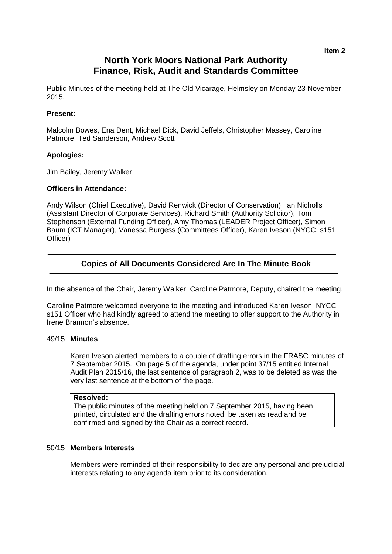# **North York Moors National Park Authority Finance, Risk, Audit and Standards Committee**

Public Minutes of the meeting held at The Old Vicarage, Helmsley on Monday 23 November 2015.

### **Present:**

Malcolm Bowes, Ena Dent, Michael Dick, David Jeffels, Christopher Massey, Caroline Patmore, Ted Sanderson, Andrew Scott

### **Apologies:**

Jim Bailey, Jeremy Walker

#### **Officers in Attendance:**

Andy Wilson (Chief Executive), David Renwick (Director of Conservation), Ian Nicholls (Assistant Director of Corporate Services), Richard Smith (Authority Solicitor), Tom Stephenson (External Funding Officer), Amy Thomas (LEADER Project Officer), Simon Baum (ICT Manager), Vanessa Burgess (Committees Officer), Karen Iveson (NYCC, s151 Officer)

# **Copies of All Documents Considered Are In The Minute Book**

In the absence of the Chair, Jeremy Walker, Caroline Patmore, Deputy, chaired the meeting.

Caroline Patmore welcomed everyone to the meeting and introduced Karen Iveson, NYCC s151 Officer who had kindly agreed to attend the meeting to offer support to the Authority in Irene Brannon's absence.

#### 49/15 **Minutes**

Karen Iveson alerted members to a couple of drafting errors in the FRASC minutes of 7 September 2015. On page 5 of the agenda, under point 37/15 entitled Internal Audit Plan 2015/16, the last sentence of paragraph 2, was to be deleted as was the very last sentence at the bottom of the page.

#### **Resolved:**

The public minutes of the meeting held on 7 September 2015, having been printed, circulated and the drafting errors noted, be taken as read and be confirmed and signed by the Chair as a correct record.

#### 50/15 **Members Interests**

Members were reminded of their responsibility to declare any personal and prejudicial interests relating to any agenda item prior to its consideration.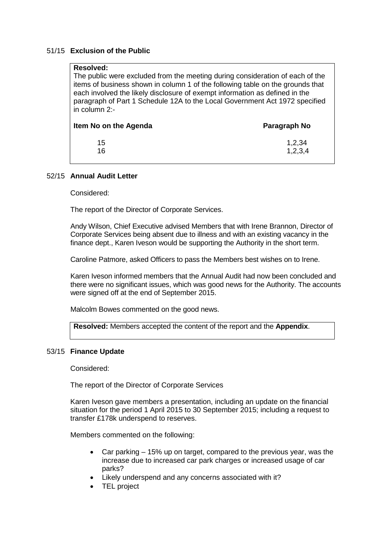### 51/15 **Exclusion of the Public**

### **Resolved:**

The public were excluded from the meeting during consideration of each of the items of business shown in column 1 of the following table on the grounds that each involved the likely disclosure of exempt information as defined in the paragraph of Part 1 Schedule 12A to the Local Government Act 1972 specified in column 2:-

| 15<br>16 | 1,2,34<br>1,2,3,4 |  |
|----------|-------------------|--|

#### 52/15 **Annual Audit Letter**

Considered:

The report of the Director of Corporate Services.

Andy Wilson, Chief Executive advised Members that with Irene Brannon, Director of Corporate Services being absent due to illness and with an existing vacancy in the finance dept., Karen Iveson would be supporting the Authority in the short term.

Caroline Patmore, asked Officers to pass the Members best wishes on to Irene.

Karen Iveson informed members that the Annual Audit had now been concluded and there were no significant issues, which was good news for the Authority. The accounts were signed off at the end of September 2015.

Malcolm Bowes commented on the good news.

**Resolved:** Members accepted the content of the report and the **Appendix**.

#### 53/15 **Finance Update**

Considered:

The report of the Director of Corporate Services

Karen Iveson gave members a presentation, including an update on the financial situation for the period 1 April 2015 to 30 September 2015; including a request to transfer £178k underspend to reserves.

Members commented on the following:

- Car parking 15% up on target, compared to the previous year, was the increase due to increased car park charges or increased usage of car parks?
- Likely underspend and any concerns associated with it?
- TEL project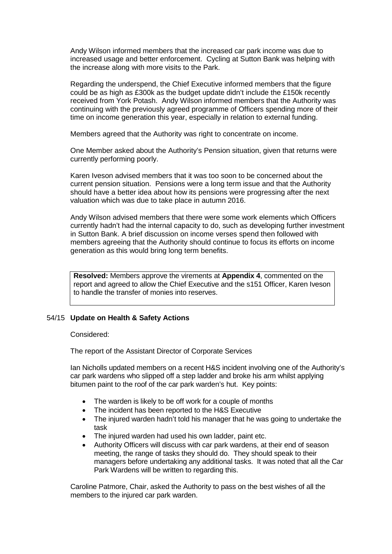Andy Wilson informed members that the increased car park income was due to increased usage and better enforcement. Cycling at Sutton Bank was helping with the increase along with more visits to the Park.

Regarding the underspend, the Chief Executive informed members that the figure could be as high as £300k as the budget update didn't include the £150k recently received from York Potash. Andy Wilson informed members that the Authority was continuing with the previously agreed programme of Officers spending more of their time on income generation this year, especially in relation to external funding.

Members agreed that the Authority was right to concentrate on income.

One Member asked about the Authority's Pension situation, given that returns were currently performing poorly.

Karen Iveson advised members that it was too soon to be concerned about the current pension situation. Pensions were a long term issue and that the Authority should have a better idea about how its pensions were progressing after the next valuation which was due to take place in autumn 2016.

Andy Wilson advised members that there were some work elements which Officers currently hadn't had the internal capacity to do, such as developing further investment in Sutton Bank. A brief discussion on income verses spend then followed with members agreeing that the Authority should continue to focus its efforts on income generation as this would bring long term benefits.

**Resolved:** Members approve the virements at **Appendix 4**, commented on the report and agreed to allow the Chief Executive and the s151 Officer, Karen Iveson to handle the transfer of monies into reserves.

### 54/15 **Update on Health & Safety Actions**

Considered:

The report of the Assistant Director of Corporate Services

Ian Nicholls updated members on a recent H&S incident involving one of the Authority's car park wardens who slipped off a step ladder and broke his arm whilst applying bitumen paint to the roof of the car park warden's hut. Key points:

- The warden is likely to be off work for a couple of months
- The incident has been reported to the H&S Executive
- The injured warden hadn't told his manager that he was going to undertake the task
- The injured warden had used his own ladder, paint etc.
- Authority Officers will discuss with car park wardens, at their end of season meeting, the range of tasks they should do. They should speak to their managers before undertaking any additional tasks. It was noted that all the Car Park Wardens will be written to regarding this.

Caroline Patmore, Chair, asked the Authority to pass on the best wishes of all the members to the injured car park warden.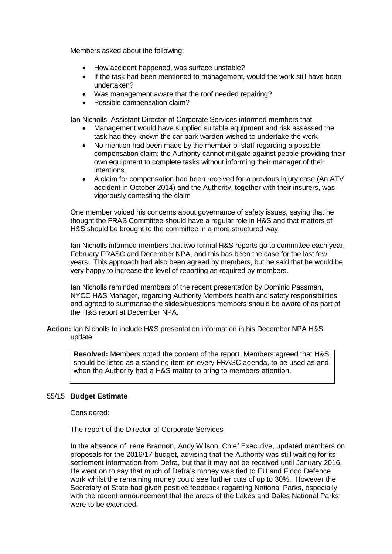Members asked about the following:

- How accident happened, was surface unstable?
- If the task had been mentioned to management, would the work still have been undertaken?
- Was management aware that the roof needed repairing?
- Possible compensation claim?

Ian Nicholls, Assistant Director of Corporate Services informed members that:

- Management would have supplied suitable equipment and risk assessed the task had they known the car park warden wished to undertake the work
- No mention had been made by the member of staff regarding a possible compensation claim; the Authority cannot mitigate against people providing their own equipment to complete tasks without informing their manager of their intentions.
- A claim for compensation had been received for a previous injury case (An ATV accident in October 2014) and the Authority, together with their insurers, was vigorously contesting the claim

One member voiced his concerns about governance of safety issues, saying that he thought the FRAS Committee should have a regular role in H&S and that matters of H&S should be brought to the committee in a more structured way.

Ian Nicholls informed members that two formal H&S reports go to committee each year, February FRASC and December NPA, and this has been the case for the last few years. This approach had also been agreed by members, but he said that he would be very happy to increase the level of reporting as required by members.

Ian Nicholls reminded members of the recent presentation by Dominic Passman, NYCC H&S Manager, regarding Authority Members health and safety responsibilities and agreed to summarise the slides/questions members should be aware of as part of the H&S report at December NPA.

**Action:** Ian Nicholls to include H&S presentation information in his December NPA H&S update.

**Resolved:** Members noted the content of the report. Members agreed that H&S should be listed as a standing item on every FRASC agenda, to be used as and when the Authority had a H&S matter to bring to members attention.

#### 55/15 **Budget Estimate**

Considered:

The report of the Director of Corporate Services

In the absence of Irene Brannon, Andy Wilson, Chief Executive, updated members on proposals for the 2016/17 budget, advising that the Authority was still waiting for its settlement information from Defra, but that it may not be received until January 2016. He went on to say that much of Defra's money was tied to EU and Flood Defence work whilst the remaining money could see further cuts of up to 30%. However the Secretary of State had given positive feedback regarding National Parks, especially with the recent announcement that the areas of the Lakes and Dales National Parks were to be extended.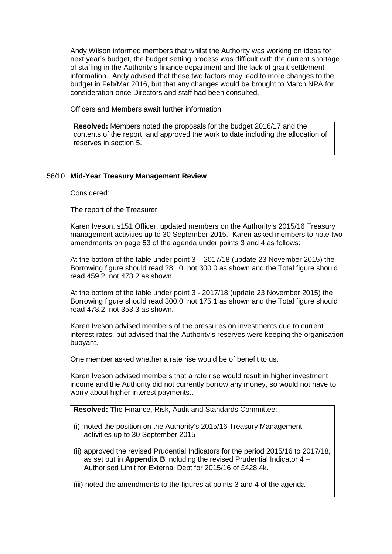Andy Wilson informed members that whilst the Authority was working on ideas for next year's budget, the budget setting process was difficult with the current shortage of staffing in the Authority's finance department and the lack of grant settlement information. Andy advised that these two factors may lead to more changes to the budget in Feb/Mar 2016, but that any changes would be brought to March NPA for consideration once Directors and staff had been consulted.

Officers and Members await further information

**Resolved:** Members noted the proposals for the budget 2016/17 and the contents of the report, and approved the work to date including the allocation of reserves in section 5.

### 56/10 **Mid-Year Treasury Management Review**

Considered:

The report of the Treasurer

Karen Iveson, s151 Officer, updated members on the Authority's 2015/16 Treasury management activities up to 30 September 2015. Karen asked members to note two amendments on page 53 of the agenda under points 3 and 4 as follows:

At the bottom of the table under point 3 – 2017/18 (update 23 November 2015) the Borrowing figure should read 281.0, not 300.0 as shown and the Total figure should read 459.2, not 478.2 as shown.

At the bottom of the table under point 3 - 2017/18 (update 23 November 2015) the Borrowing figure should read 300.0, not 175.1 as shown and the Total figure should read 478.2, not 353.3 as shown.

Karen Iveson advised members of the pressures on investments due to current interest rates, but advised that the Authority's reserves were keeping the organisation buoyant.

One member asked whether a rate rise would be of benefit to us.

Karen Iveson advised members that a rate rise would result in higher investment income and the Authority did not currently borrow any money, so would not have to worry about higher interest payments..

**Resolved: T**he Finance, Risk, Audit and Standards Committee:

- (i) noted the position on the Authority's 2015/16 Treasury Management activities up to 30 September 2015
- (ii) approved the revised Prudential Indicators for the period 2015/16 to 2017/18, as set out in **Appendix B** including the revised Prudential Indicator 4 – Authorised Limit for External Debt for 2015/16 of £428.4k.

(iii) noted the amendments to the figures at points 3 and 4 of the agenda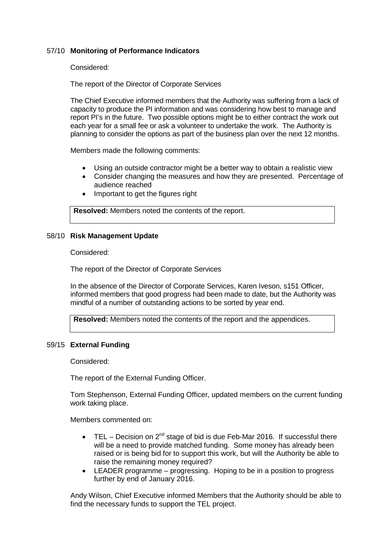### 57/10 **Monitoring of Performance Indicators**

Considered:

The report of the Director of Corporate Services

The Chief Executive informed members that the Authority was suffering from a lack of capacity to produce the PI information and was considering how best to manage and report PI's in the future. Two possible options might be to either contract the work out each year for a small fee or ask a volunteer to undertake the work. The Authority is planning to consider the options as part of the business plan over the next 12 months.

Members made the following comments:

- Using an outside contractor might be a better way to obtain a realistic view
- Consider changing the measures and how they are presented. Percentage of audience reached
- Important to get the figures right

**Resolved:** Members noted the contents of the report.

#### 58/10 **Risk Management Update**

Considered:

The report of the Director of Corporate Services

In the absence of the Director of Corporate Services, Karen Iveson, s151 Officer, informed members that good progress had been made to date, but the Authority was mindful of a number of outstanding actions to be sorted by year end.

**Resolved:** Members noted the contents of the report and the appendices.

#### 59/15 **External Funding**

Considered:

The report of the External Funding Officer.

Tom Stephenson, External Funding Officer, updated members on the current funding work taking place.

Members commented on:

- TEL Decision on  $2^{nd}$  stage of bid is due Feb-Mar 2016. If successful there will be a need to provide matched funding. Some money has already been raised or is being bid for to support this work, but will the Authority be able to raise the remaining money required?
- LEADER programme progressing. Hoping to be in a position to progress further by end of January 2016.

Andy Wilson, Chief Executive informed Members that the Authority should be able to find the necessary funds to support the TEL project.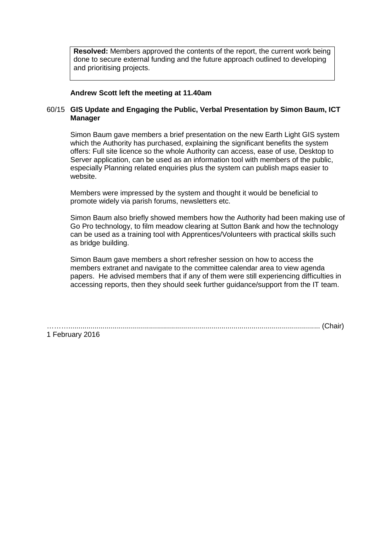**Resolved:** Members approved the contents of the report, the current work being done to secure external funding and the future approach outlined to developing and prioritising projects.

### **Andrew Scott left the meeting at 11.40am**

### 60/15 **GIS Update and Engaging the Public, Verbal Presentation by Simon Baum, ICT Manager**

Simon Baum gave members a brief presentation on the new Earth Light GIS system which the Authority has purchased, explaining the significant benefits the system offers: Full site licence so the whole Authority can access, ease of use, Desktop to Server application, can be used as an information tool with members of the public, especially Planning related enquiries plus the system can publish maps easier to website.

Members were impressed by the system and thought it would be beneficial to promote widely via parish forums, newsletters etc.

Simon Baum also briefly showed members how the Authority had been making use of Go Pro technology, to film meadow clearing at Sutton Bank and how the technology can be used as a training tool with Apprentices/Volunteers with practical skills such as bridge building.

Simon Baum gave members a short refresher session on how to access the members extranet and navigate to the committee calendar area to view agenda papers. He advised members that if any of them were still experiencing difficulties in accessing reports, then they should seek further guidance/support from the IT team.

………............................................................................................................................. (Chair) 1 February 2016